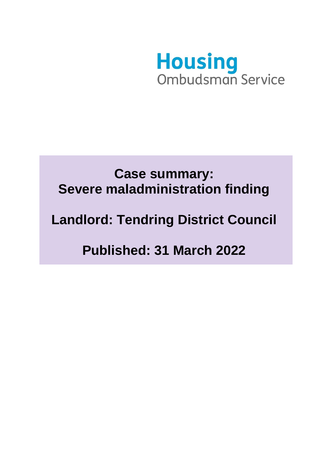

## **Case summary: Severe maladministration finding**

## **Landlord: Tendring District Council**

# **Published: 31 March 2022**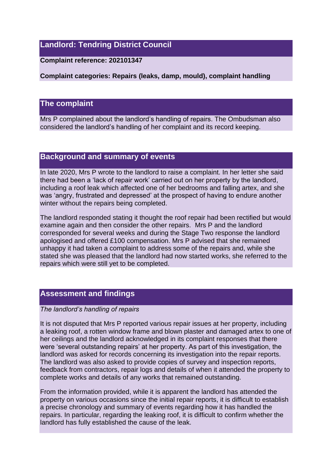## **Landlord: Tendring District Council**

### **Complaint reference: 202101347**

**Complaint categories: Repairs (leaks, damp, mould), complaint handling** 

### **The complaint**

Mrs P complained about the landlord's handling of repairs. The Ombudsman also considered the landlord's handling of her complaint and its record keeping.

## **Background and summary of events**

In late 2020, Mrs P wrote to the landlord to raise a complaint. In her letter she said there had been a 'lack of repair work' carried out on her property by the landlord, including a roof leak which affected one of her bedrooms and falling artex, and she was 'angry, frustrated and depressed' at the prospect of having to endure another winter without the repairs being completed.

The landlord responded stating it thought the roof repair had been rectified but would examine again and then consider the other repairs. Mrs P and the landlord corresponded for several weeks and during the Stage Two response the landlord apologised and offered £100 compensation. Mrs P advised that she remained unhappy it had taken a complaint to address some of the repairs and, while she stated she was pleased that the landlord had now started works, she referred to the repairs which were still yet to be completed.

## **Assessment and findings**

#### *The landlord's handling of repairs*

It is not disputed that Mrs P reported various repair issues at her property, including a leaking roof, a rotten window frame and blown plaster and damaged artex to one of her ceilings and the landlord acknowledged in its complaint responses that there were 'several outstanding repairs' at her property. As part of this investigation, the landlord was asked for records concerning its investigation into the repair reports. The landlord was also asked to provide copies of survey and inspection reports, feedback from contractors, repair logs and details of when it attended the property to complete works and details of any works that remained outstanding.

From the information provided, while it is apparent the landlord has attended the property on various occasions since the initial repair reports, it is difficult to establish a precise chronology and summary of events regarding how it has handled the repairs. In particular, regarding the leaking roof, it is difficult to confirm whether the landlord has fully established the cause of the leak.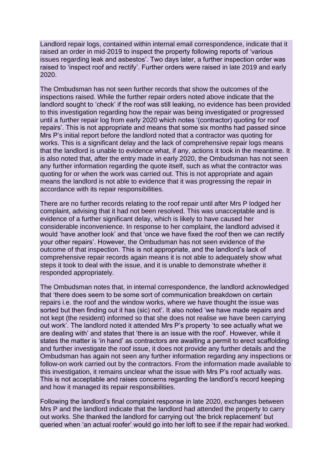Landlord repair logs, contained within internal email correspondence, indicate that it raised an order in mid-2019 to inspect the property following reports of 'various issues regarding leak and asbestos'. Two days later, a further inspection order was raised to 'inspect roof and rectify'. Further orders were raised in late 2019 and early 2020.

The Ombudsman has not seen further records that show the outcomes of the inspections raised. While the further repair orders noted above indicate that the landlord sought to 'check' if the roof was still leaking, no evidence has been provided to this investigation regarding how the repair was being investigated or progressed until a further repair log from early 2020 which notes '(contractor) quoting for roof repairs'. This is not appropriate and means that some six months had passed since Mrs P's initial report before the landlord noted that a contractor was quoting for works. This is a significant delay and the lack of comprehensive repair logs means that the landlord is unable to evidence what, if any, actions it took in the meantime. It is also noted that, after the entry made in early 2020, the Ombudsman has not seen any further information regarding the quote itself, such as what the contractor was quoting for or when the work was carried out. This is not appropriate and again means the landlord is not able to evidence that it was progressing the repair in accordance with its repair responsibilities.

There are no further records relating to the roof repair until after Mrs P lodged her complaint, advising that it had not been resolved. This was unacceptable and is evidence of a further significant delay, which is likely to have caused her considerable inconvenience. In response to her complaint, the landlord advised it would 'have another look' and that 'once we have fixed the roof then we can rectify your other repairs'. However, the Ombudsman has not seen evidence of the outcome of that inspection. This is not appropriate, and the landlord's lack of comprehensive repair records again means it is not able to adequately show what steps it took to deal with the issue, and it is unable to demonstrate whether it responded appropriately.

The Ombudsman notes that, in internal correspondence, the landlord acknowledged that 'there does seem to be some sort of communication breakdown on certain repairs i.e. the roof and the window works, where we have thought the issue was sorted but then finding out it has (sic) not'. It also noted 'we have made repairs and not kept (the resident) informed so that she does not realise we have been carrying out work'. The landlord noted it attended Mrs P's property 'to see actually what we are dealing with' and states that 'there is an issue with the roof'. However, while it states the matter is 'in hand' as contractors are awaiting a permit to erect scaffolding and further investigate the roof issue, it does not provide any further details and the Ombudsman has again not seen any further information regarding any inspections or follow-on work carried out by the contractors. From the information made available to this investigation, it remains unclear what the issue with Mrs P's roof actually was. This is not acceptable and raises concerns regarding the landlord's record keeping and how it managed its repair responsibilities.

Following the landlord's final complaint response in late 2020, exchanges between Mrs P and the landlord indicate that the landlord had attended the property to carry out works. She thanked the landlord for carrying out 'the brick replacement' but queried when 'an actual roofer' would go into her loft to see if the repair had worked.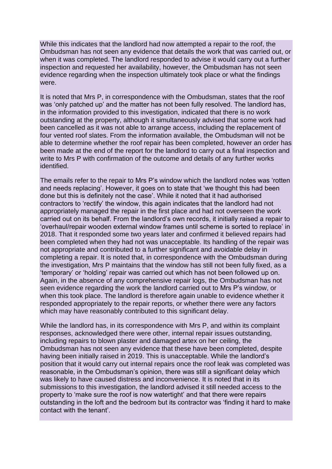While this indicates that the landlord had now attempted a repair to the roof, the Ombudsman has not seen any evidence that details the work that was carried out, or when it was completed. The landlord responded to advise it would carry out a further inspection and requested her availability, however, the Ombudsman has not seen evidence regarding when the inspection ultimately took place or what the findings were.

It is noted that Mrs P, in correspondence with the Ombudsman, states that the roof was 'only patched up' and the matter has not been fully resolved. The landlord has, in the information provided to this investigation, indicated that there is no work outstanding at the property, although it simultaneously advised that some work had been cancelled as it was not able to arrange access, including the replacement of four vented roof slates. From the information available, the Ombudsman will not be able to determine whether the roof repair has been completed, however an order has been made at the end of the report for the landlord to carry out a final inspection and write to Mrs P with confirmation of the outcome and details of any further works identified.

The emails refer to the repair to Mrs P's window which the landlord notes was 'rotten and needs replacing'. However, it goes on to state that 'we thought this had been done but this is definitely not the case'. While it noted that it had authorised contractors to 'rectify' the window, this again indicates that the landlord had not appropriately managed the repair in the first place and had not overseen the work carried out on its behalf. From the landlord's own records, it initially raised a repair to 'overhaul/repair wooden external window frames until scheme is sorted to replace' in 2018. That it responded some two years later and confirmed it believed repairs had been completed when they had not was unacceptable. Its handling of the repair was not appropriate and contributed to a further significant and avoidable delay in completing a repair. It is noted that, in correspondence with the Ombudsman during the investigation, Mrs P maintains that the window has still not been fully fixed, as a 'temporary' or 'holding' repair was carried out which has not been followed up on. Again, in the absence of any comprehensive repair logs, the Ombudsman has not seen evidence regarding the work the landlord carried out to Mrs P's window, or when this took place. The landlord is therefore again unable to evidence whether it responded appropriately to the repair reports, or whether there were any factors which may have reasonably contributed to this significant delay.

While the landlord has, in its correspondence with Mrs P, and within its complaint responses, acknowledged there were other, internal repair issues outstanding, including repairs to blown plaster and damaged artex on her ceiling, the Ombudsman has not seen any evidence that these have been completed, despite having been initially raised in 2019. This is unacceptable. While the landlord's position that it would carry out internal repairs once the roof leak was completed was reasonable, in the Ombudsman's opinion, there was still a significant delay which was likely to have caused distress and inconvenience. It is noted that in its submissions to this investigation, the landlord advised it still needed access to the property to 'make sure the roof is now watertight' and that there were repairs outstanding in the loft and the bedroom but its contractor was 'finding it hard to make contact with the tenant'.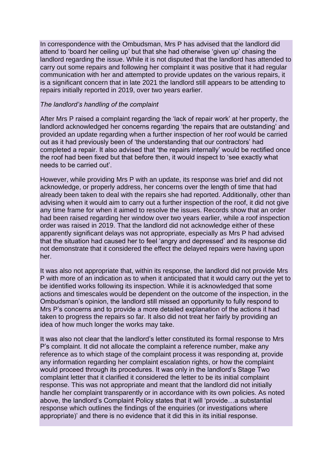In correspondence with the Ombudsman, Mrs P has advised that the landlord did attend to 'board her ceiling up' but that she had otherwise 'given up' chasing the landlord regarding the issue. While it is not disputed that the landlord has attended to carry out some repairs and following her complaint it was positive that it had regular communication with her and attempted to provide updates on the various repairs, it is a significant concern that in late 2021 the landlord still appears to be attending to repairs initially reported in 2019, over two years earlier.

#### *The landlord's handling of the complaint*

After Mrs P raised a complaint regarding the 'lack of repair work' at her property, the landlord acknowledged her concerns regarding 'the repairs that are outstanding' and provided an update regarding when a further inspection of her roof would be carried out as it had previously been of 'the understanding that our contractors' had completed a repair. It also advised that 'the repairs internally' would be rectified once the roof had been fixed but that before then, it would inspect to 'see exactly what needs to be carried out'.

However, while providing Mrs P with an update, its response was brief and did not acknowledge, or properly address, her concerns over the length of time that had already been taken to deal with the repairs she had reported. Additionally, other than advising when it would aim to carry out a further inspection of the roof, it did not give any time frame for when it aimed to resolve the issues. Records show that an order had been raised regarding her window over two years earlier, while a roof inspection order was raised in 2019. That the landlord did not acknowledge either of these apparently significant delays was not appropriate, especially as Mrs P had advised that the situation had caused her to feel 'angry and depressed' and its response did not demonstrate that it considered the effect the delayed repairs were having upon her.

It was also not appropriate that, within its response, the landlord did not provide Mrs P with more of an indication as to when it anticipated that it would carry out the yet to be identified works following its inspection. While it is acknowledged that some actions and timescales would be dependent on the outcome of the inspection, in the Ombudsman's opinion, the landlord still missed an opportunity to fully respond to Mrs P's concerns and to provide a more detailed explanation of the actions it had taken to progress the repairs so far. It also did not treat her fairly by providing an idea of how much longer the works may take.

It was also not clear that the landlord's letter constituted its formal response to Mrs P's complaint. It did not allocate the complaint a reference number, make any reference as to which stage of the complaint process it was responding at, provide any information regarding her complaint escalation rights, or how the complaint would proceed through its procedures. It was only in the landlord's Stage Two complaint letter that it clarified it considered the letter to be its initial complaint response. This was not appropriate and meant that the landlord did not initially handle her complaint transparently or in accordance with its own policies. As noted above, the landlord's Complaint Policy states that it will 'provide…a substantial response which outlines the findings of the enquiries (or investigations where appropriate)' and there is no evidence that it did this in its initial response.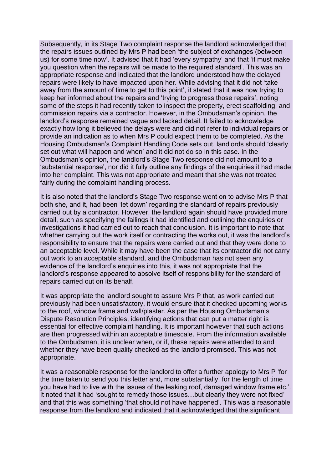Subsequently, in its Stage Two complaint response the landlord acknowledged that the repairs issues outlined by Mrs P had been 'the subject of exchanges (between us) for some time now'. It advised that it had 'every sympathy' and that 'it must make you question when the repairs will be made to the required standard'. This was an appropriate response and indicated that the landlord understood how the delayed repairs were likely to have impacted upon her. While advising that it did not 'take away from the amount of time to get to this point', it stated that it was now trying to keep her informed about the repairs and 'trying to progress those repairs', noting some of the steps it had recently taken to inspect the property, erect scaffolding, and commission repairs via a contractor. However, in the Ombudsman's opinion, the landlord's response remained vague and lacked detail. It failed to acknowledge exactly how long it believed the delays were and did not refer to individual repairs or provide an indication as to when Mrs P could expect them to be completed. As the Housing Ombudsman's Complaint Handling Code sets out, landlords should 'clearly set out what will happen and when' and it did not do so in this case. In the Ombudsman's opinion, the landlord's Stage Two response did not amount to a 'substantial response', nor did it fully outline any findings of the enquiries it had made into her complaint. This was not appropriate and meant that she was not treated fairly during the complaint handling process.

It is also noted that the landlord's Stage Two response went on to advise Mrs P that both she, and it, had been 'let down' regarding the standard of repairs previously carried out by a contractor. However, the landlord again should have provided more detail, such as specifying the failings it had identified and outlining the enquiries or investigations it had carried out to reach that conclusion. It is important to note that whether carrying out the work itself or contracting the works out, it was the landlord's responsibility to ensure that the repairs were carried out and that they were done to an acceptable level. While it may have been the case that its contractor did not carry out work to an acceptable standard, and the Ombudsman has not seen any evidence of the landlord's enquiries into this, it was not appropriate that the landlord's response appeared to absolve itself of responsibility for the standard of repairs carried out on its behalf.

It was appropriate the landlord sought to assure Mrs P that, as work carried out previously had been unsatisfactory, it would ensure that it checked upcoming works to the roof, window frame and wall/plaster. As per the Housing Ombudsman's Dispute Resolution Principles, identifying actions that can put a matter right is essential for effective complaint handling. It is important however that such actions are then progressed within an acceptable timescale. From the information available to the Ombudsman, it is unclear when, or if, these repairs were attended to and whether they have been quality checked as the landlord promised. This was not appropriate.

It was a reasonable response for the landlord to offer a further apology to Mrs P 'for the time taken to send you this letter and, more substantially, for the length of time you have had to live with the issues of the leaking roof, damaged window frame etc.'. It noted that it had 'sought to remedy those issues…but clearly they were not fixed' and that this was something 'that should not have happened'. This was a reasonable response from the landlord and indicated that it acknowledged that the significant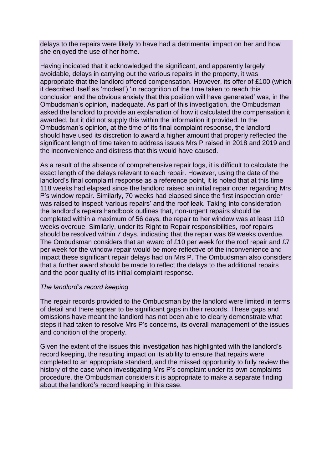delays to the repairs were likely to have had a detrimental impact on her and how she enjoyed the use of her home.

Having indicated that it acknowledged the significant, and apparently largely avoidable, delays in carrying out the various repairs in the property, it was appropriate that the landlord offered compensation. However, its offer of £100 (which it described itself as 'modest') 'in recognition of the time taken to reach this conclusion and the obvious anxiety that this position will have generated' was, in the Ombudsman's opinion, inadequate. As part of this investigation, the Ombudsman asked the landlord to provide an explanation of how it calculated the compensation it awarded, but it did not supply this within the information it provided. In the Ombudsman's opinion, at the time of its final complaint response, the landlord should have used its discretion to award a higher amount that properly reflected the significant length of time taken to address issues Mrs P raised in 2018 and 2019 and the inconvenience and distress that this would have caused.

As a result of the absence of comprehensive repair logs, it is difficult to calculate the exact length of the delays relevant to each repair. However, using the date of the landlord's final complaint response as a reference point, it is noted that at this time 118 weeks had elapsed since the landlord raised an initial repair order regarding Mrs P's window repair. Similarly, 70 weeks had elapsed since the first inspection order was raised to inspect 'various repairs' and the roof leak. Taking into consideration the landlord's repairs handbook outlines that, non-urgent repairs should be completed within a maximum of 56 days, the repair to her window was at least 110 weeks overdue. Similarly, under its Right to Repair responsibilities, roof repairs should be resolved within 7 days, indicating that the repair was 69 weeks overdue. The Ombudsman considers that an award of £10 per week for the roof repair and £7 per week for the window repair would be more reflective of the inconvenience and impact these significant repair delays had on Mrs P. The Ombudsman also considers that a further award should be made to reflect the delays to the additional repairs and the poor quality of its initial complaint response.

#### *The landlord's record keeping*

The repair records provided to the Ombudsman by the landlord were limited in terms of detail and there appear to be significant gaps in their records. These gaps and omissions have meant the landlord has not been able to clearly demonstrate what steps it had taken to resolve Mrs P's concerns, its overall management of the issues and condition of the property.

Given the extent of the issues this investigation has highlighted with the landlord's record keeping, the resulting impact on its ability to ensure that repairs were completed to an appropriate standard, and the missed opportunity to fully review the history of the case when investigating Mrs P's complaint under its own complaints procedure, the Ombudsman considers it is appropriate to make a separate finding about the landlord's record keeping in this case.